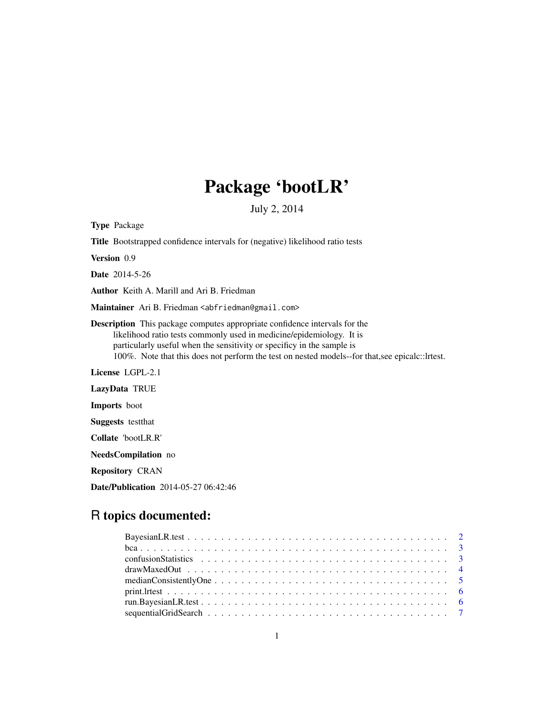## Package 'bootLR'

July 2, 2014

Type Package

Title Bootstrapped confidence intervals for (negative) likelihood ratio tests

Version 0.9

Date 2014-5-26

Author Keith A. Marill and Ari B. Friedman

Maintainer Ari B. Friedman <abfriedman@gmail.com>

Description This package computes appropriate confidence intervals for the likelihood ratio tests commonly used in medicine/epidemiology. It is particularly useful when the sensitivity or specificy in the sample is 100%. Note that this does not perform the test on nested models--for that,see epicalc::lrtest.

License LGPL-2.1

LazyData TRUE

Imports boot

Suggests testthat

Collate 'bootLR.R'

NeedsCompilation no

Repository CRAN

Date/Publication 2014-05-27 06:42:46

### R topics documented: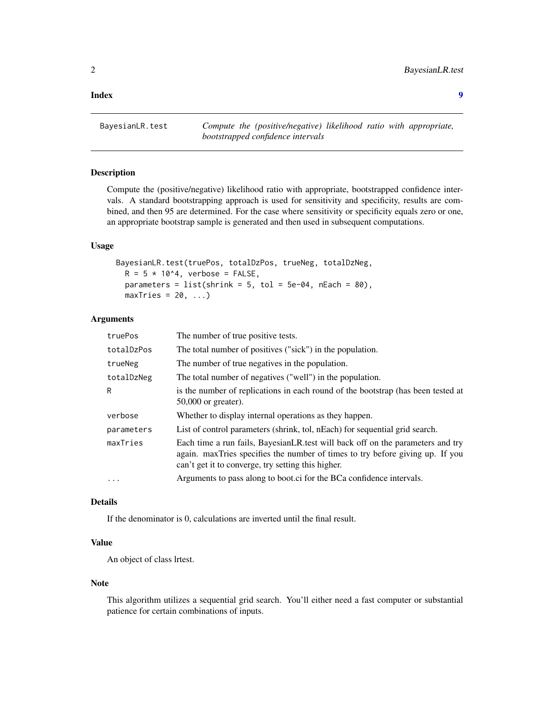#### <span id="page-1-0"></span>**Index** [9](#page-8-0)

BayesianLR.test *Compute the (positive/negative) likelihood ratio with appropriate, bootstrapped confidence intervals*

#### Description

Compute the (positive/negative) likelihood ratio with appropriate, bootstrapped confidence intervals. A standard bootstrapping approach is used for sensitivity and specificity, results are combined, and then 95 are determined. For the case where sensitivity or specificity equals zero or one, an appropriate bootstrap sample is generated and then used in subsequent computations.

#### Usage

BayesianLR.test(truePos, totalDzPos, trueNeg, totalDzNeg,  $R = 5 * 10<sup>4</sup>$ , verbose = FALSE, parameters =  $list(shrink = 5, tol = 5e-04, nEach = 80)$ ,  $maxTries = 20, ...$ 

#### Arguments

| truePos    | The number of true positive tests.                                                                                                                                                                                    |
|------------|-----------------------------------------------------------------------------------------------------------------------------------------------------------------------------------------------------------------------|
| totalDzPos | The total number of positives ("sick") in the population.                                                                                                                                                             |
| trueNeg    | The number of true negatives in the population.                                                                                                                                                                       |
| totalDzNeg | The total number of negatives ("well") in the population.                                                                                                                                                             |
| R          | is the number of replications in each round of the bootstrap (has been tested at<br>$50,000$ or greater).                                                                                                             |
| verbose    | Whether to display internal operations as they happen.                                                                                                                                                                |
| parameters | List of control parameters (shrink, tol, nEach) for sequential grid search.                                                                                                                                           |
| maxTries   | Each time a run fails, BayesianLR test will back off on the parameters and try<br>again. maxTries specifies the number of times to try before giving up. If you<br>can't get it to converge, try setting this higher. |
| $\cdot$    | Arguments to pass along to boot.ci for the BCa confidence intervals.                                                                                                                                                  |
|            |                                                                                                                                                                                                                       |

#### Details

If the denominator is 0, calculations are inverted until the final result.

#### Value

An object of class lrtest.

#### Note

This algorithm utilizes a sequential grid search. You'll either need a fast computer or substantial patience for certain combinations of inputs.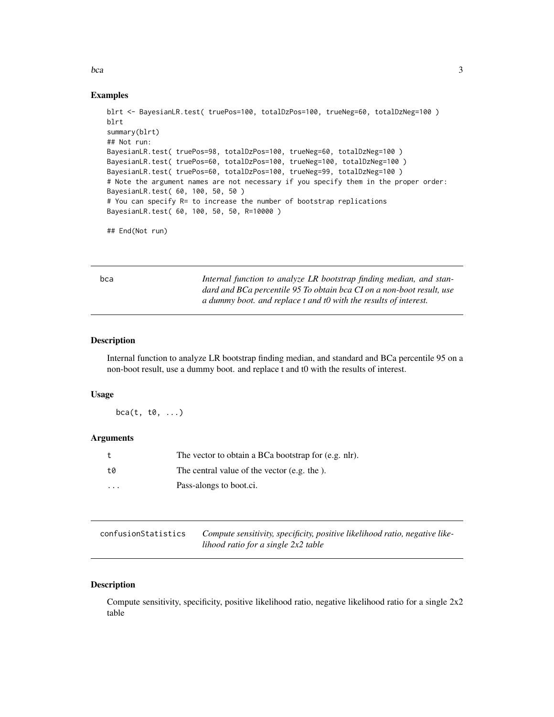<span id="page-2-0"></span>bca 3

#### Examples

```
blrt <- BayesianLR.test( truePos=100, totalDzPos=100, trueNeg=60, totalDzNeg=100 )
blrt
summary(blrt)
## Not run:
BayesianLR.test( truePos=98, totalDzPos=100, trueNeg=60, totalDzNeg=100 )
BayesianLR.test( truePos=60, totalDzPos=100, trueNeg=100, totalDzNeg=100 )
BayesianLR.test( truePos=60, totalDzPos=100, trueNeg=99, totalDzNeg=100 )
# Note the argument names are not necessary if you specify them in the proper order:
BayesianLR.test( 60, 100, 50, 50 )
# You can specify R= to increase the number of bootstrap replications
BayesianLR.test( 60, 100, 50, 50, R=10000 )
## End(Not run)
```
bca *Internal function to analyze LR bootstrap finding median, and standard and BCa percentile 95 To obtain bca CI on a non-boot result, use a dummy boot. and replace t and t0 with the results of interest.*

#### Description

Internal function to analyze LR bootstrap finding median, and standard and BCa percentile 95 on a non-boot result, use a dummy boot. and replace t and t0 with the results of interest.

#### Usage

 $bca(t, t0, \ldots)$ 

#### Arguments

| $^{\rm t}$ | The vector to obtain a BCa bootstrap for (e.g. nlr). |
|------------|------------------------------------------------------|
| t0         | The central value of the vector (e.g. the).          |
| $\cdot$    | Pass-alongs to boot.ci.                              |

| confusionStatistics | Compute sensitivity, specificity, positive likelihood ratio, negative like- |
|---------------------|-----------------------------------------------------------------------------|
|                     | lihood ratio for a single $2x2$ table                                       |

#### Description

Compute sensitivity, specificity, positive likelihood ratio, negative likelihood ratio for a single 2x2 table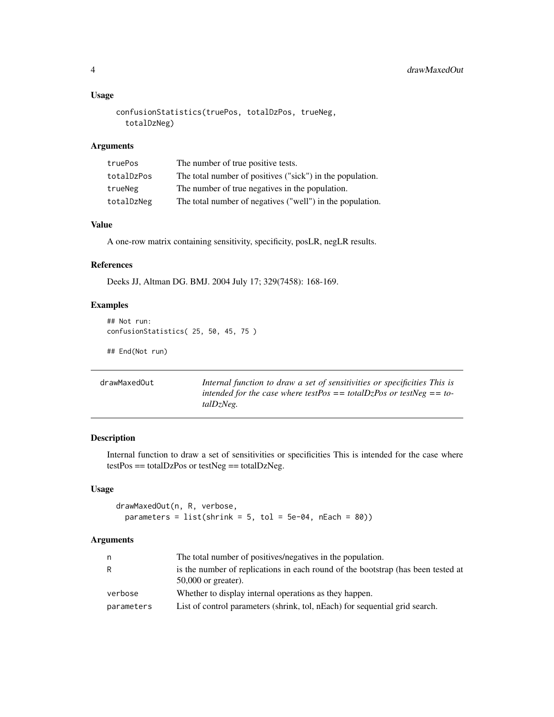#### Usage

```
confusionStatistics(truePos, totalDzPos, trueNeg,
 totalDzNeg)
```
#### Arguments

| truePos    | The number of true positive tests.                        |
|------------|-----------------------------------------------------------|
| totalDzPos | The total number of positives ("sick") in the population. |
| trueNeg    | The number of true negatives in the population.           |
| totalDzNeg | The total number of negatives ("well") in the population. |

#### Value

A one-row matrix containing sensitivity, specificity, posLR, negLR results.

#### References

Deeks JJ, Altman DG. BMJ. 2004 July 17; 329(7458): 168-169.

#### Examples

```
## Not run:
confusionStatistics( 25, 50, 45, 75 )
```
## End(Not run)

| drawMaxedOut | Internal function to draw a set of sensitivities or specificities This is |
|--------------|---------------------------------------------------------------------------|
|              | intended for the case where testPos $=$ totalDzPos or testNeg $=$ to-     |
|              | talDzNeg.                                                                 |
|              |                                                                           |

#### Description

Internal function to draw a set of sensitivities or specificities This is intended for the case where testPos == totalDzPos or testNeg == totalDzNeg.

#### Usage

```
drawMaxedOut(n, R, verbose,
 parameters = list(shrink = 5, tol = 5e-04, nEach = 80)
```
#### Arguments

| n          | The total number of positives/negatives in the population.                                                |
|------------|-----------------------------------------------------------------------------------------------------------|
| R.         | is the number of replications in each round of the bootstrap (has been tested at<br>$50,000$ or greater). |
| verbose    | Whether to display internal operations as they happen.                                                    |
| parameters | List of control parameters (shrink, tol, nEach) for sequential grid search.                               |

<span id="page-3-0"></span>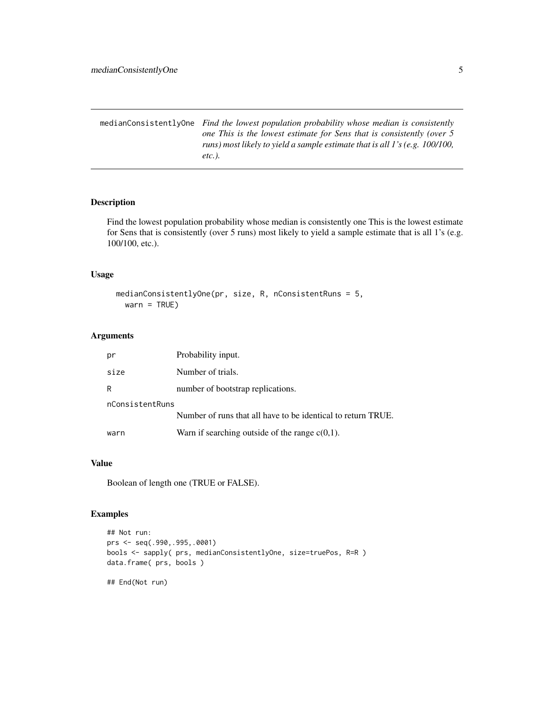<span id="page-4-0"></span>medianConsistentlyOne *Find the lowest population probability whose median is consistently one This is the lowest estimate for Sens that is consistently (over 5 runs) most likely to yield a sample estimate that is all 1's (e.g. 100/100, etc.).*

#### Description

Find the lowest population probability whose median is consistently one This is the lowest estimate for Sens that is consistently (over 5 runs) most likely to yield a sample estimate that is all 1's (e.g. 100/100, etc.).

#### Usage

```
medianConsistentlyOne(pr, size, R, nConsistentRuns = 5,
 warn = TRUE)
```
#### Arguments

| рr              | Probability input.                                           |
|-----------------|--------------------------------------------------------------|
| size            | Number of trials.                                            |
| R               | number of bootstrap replications.                            |
| nConsistentRuns |                                                              |
|                 | Number of runs that all have to be identical to return TRUE. |
| warn            | Warn if searching outside of the range $c(0,1)$ .            |

#### Value

Boolean of length one (TRUE or FALSE).

#### Examples

```
## Not run:
prs <- seq(.990,.995,.0001)
bools <- sapply( prs, medianConsistentlyOne, size=truePos, R=R )
data.frame( prs, bools )
## End(Not run)
```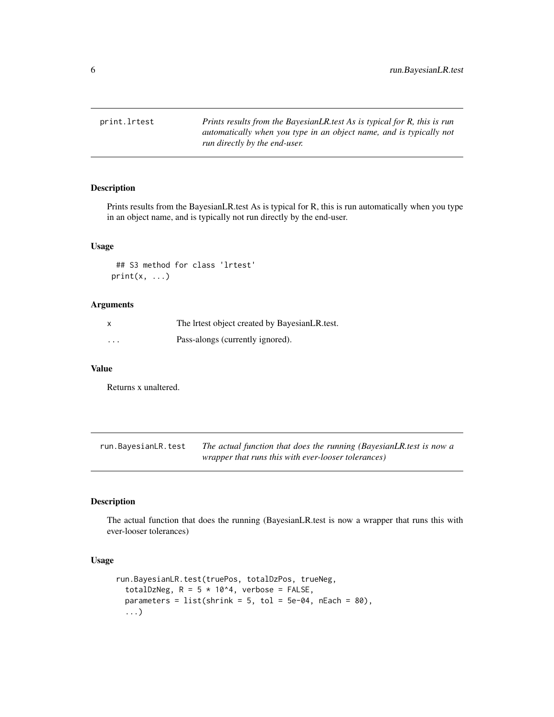<span id="page-5-0"></span>print.lrtest *Prints results from the BayesianLR.test As is typical for R, this is run automatically when you type in an object name, and is typically not run directly by the end-user.*

#### Description

Prints results from the BayesianLR.test As is typical for R, this is run automatically when you type in an object name, and is typically not run directly by the end-user.

#### Usage

## S3 method for class 'lrtest'  $print(x, \ldots)$ 

#### Arguments

|          | The Irtest object created by BayesianLR test. |
|----------|-----------------------------------------------|
| $\cdots$ | Pass-alongs (currently ignored).              |

#### Value

Returns x unaltered.

run.BayesianLR.test *The actual function that does the running (BayesianLR.test is now a wrapper that runs this with ever-looser tolerances)*

#### Description

The actual function that does the running (BayesianLR.test is now a wrapper that runs this with ever-looser tolerances)

#### Usage

```
run.BayesianLR.test(truePos, totalDzPos, trueNeg,
 totalDzNeg, R = 5 * 10^4, verbose = FALSE,
 parameters = list(shrink = 5, tol = 5e-04, nEach = 80),
  ...)
```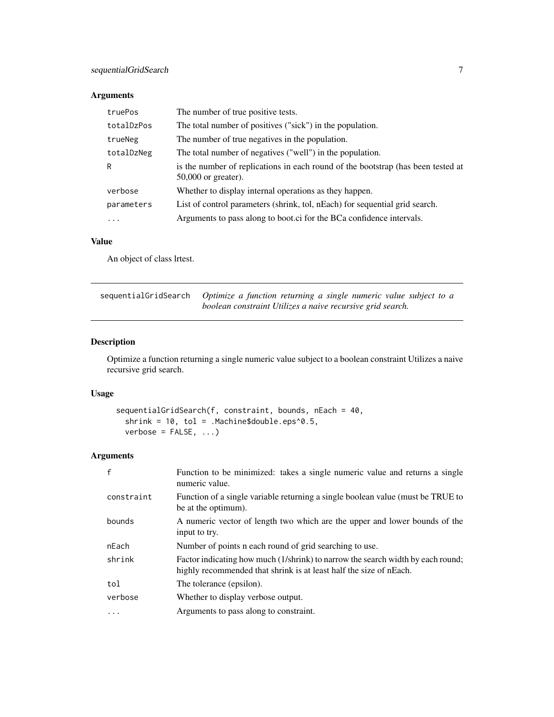#### <span id="page-6-0"></span>Arguments

| truePos    | The number of true positive tests.                                                                        |
|------------|-----------------------------------------------------------------------------------------------------------|
| totalDzPos | The total number of positives ("sick") in the population.                                                 |
| trueNeg    | The number of true negatives in the population.                                                           |
| totalDzNeg | The total number of negatives ("well") in the population.                                                 |
| R          | is the number of replications in each round of the bootstrap (has been tested at<br>$50,000$ or greater). |
| verbose    | Whether to display internal operations as they happen.                                                    |
| parameters | List of control parameters (shrink, tol, nEach) for sequential grid search.                               |
| .          | Arguments to pass along to boot.ci for the BCa confidence intervals.                                      |

#### Value

An object of class lrtest.

| sequentialGridSearch Optimize a function returning a single numeric value subject to a |
|----------------------------------------------------------------------------------------|
| boolean constraint Utilizes a naive recursive grid search.                             |

#### Description

Optimize a function returning a single numeric value subject to a boolean constraint Utilizes a naive recursive grid search.

#### Usage

```
sequentialGridSearch(f, constraint, bounds, nEach = 40,
 shrink = 10, tol = .Machine$double.eps^0.5,
 verbose = FALSE, ...)
```
#### Arguments

| $\mathsf{f}$ | Function to be minimized: takes a single numeric value and returns a single<br>numeric value.                                                         |
|--------------|-------------------------------------------------------------------------------------------------------------------------------------------------------|
| constraint   | Function of a single variable returning a single boolean value (must be TRUE to<br>be at the optimum).                                                |
| bounds       | A numeric vector of length two which are the upper and lower bounds of the<br>input to try.                                                           |
| nEach        | Number of points n each round of grid searching to use.                                                                                               |
| shrink       | Factor indicating how much (1/shrink) to narrow the search width by each round;<br>highly recommended that shrink is at least half the size of nEach. |
| tol          | The tolerance (epsilon).                                                                                                                              |
| verbose      | Whether to display verbose output.                                                                                                                    |
| $\ddotsc$    | Arguments to pass along to constraint.                                                                                                                |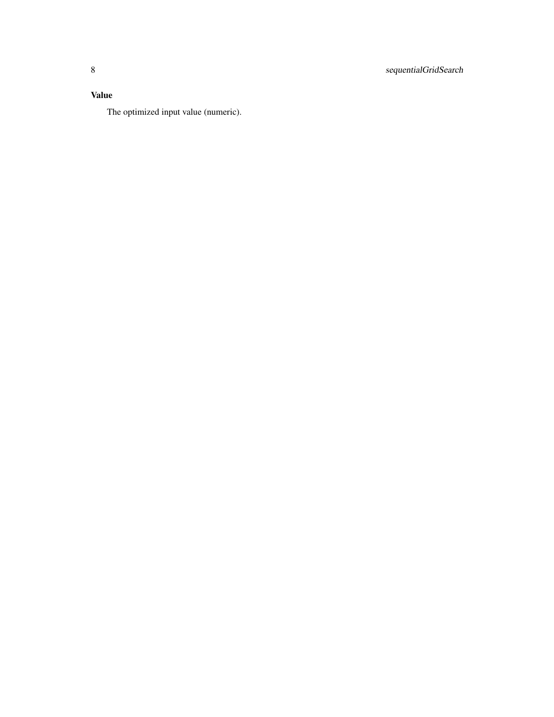#### Value

The optimized input value (numeric).